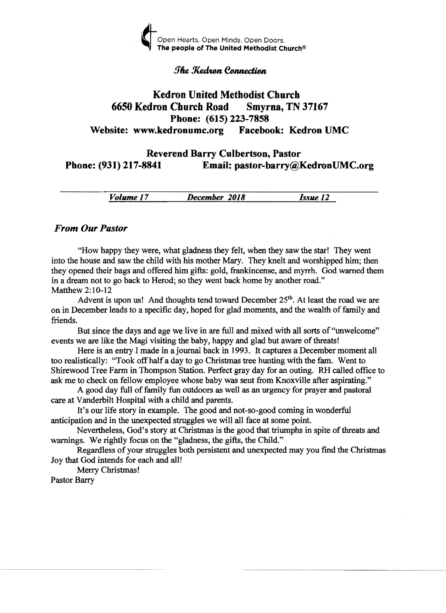

#### **The Kedron Connection**

## Kedron United Methodist Church 6650 Kedron Church Road Smyrna, TN 37167 Phone: (615) 223-7858 Website: www.kedronumc.org Facebook: Kedron UMC

### Reverend Barry Culbertson, Pastor Phone: (931) 217-8841 Email: pastor-barry@KedronUMC.org

*Volume* 17 *December 2018 Issue 12* 

#### *From Our Pastor*

"How happy they were, what gladness they felt, when they saw the star! They went into the house and saw the child with his mother Mary. They knelt and worshipped him; then they opened their bags and offered him gifts: gold, frankincense, and myrrh. God warned them in a dream not to go back to Herod; so they went back home by another road." Matthew 2:10-12

Advent is upon us! And thoughts tend toward December  $25<sup>th</sup>$ . At least the road we are on in December leads to a specific day, hoped for glad moments, and the wealth of family and friends.

But since the days and age we live in are full and mixed with all sorts of''unwelcome'' events we are like the Magi visiting the baby, happy and glad but aware of threats!

Here is an entry I made in a journal back in 1993. It captures a December moment all too realistically: "Took offhalf a day to go Christmas tree hunting with the fam. Went to Shirewood Tree Farm in Thompson Station. Perfect gray day for an outing. RH called office to ask me to check on fellow employee whose baby was sent from Knoxville after aspirating."

A good day full of family fun outdoors as well as an urgency for prayer and pastoral care at Vanderbilt Hospital with a child and parents.

It's our life story in example. The good and not-so-good coming in wonderful anticipation and in the unexpected struggles we will all face at some point.

Nevertheless, God's story at Christmas is the good that triumphs in spite of threats and warnings. We rightly focus on the "gladness, the gifts, the Child."

Regardless of your struggles both persistent and unexpected may you find the Christmas Joy that God intends for each and all!

Merry Christmas!

Pastor Barry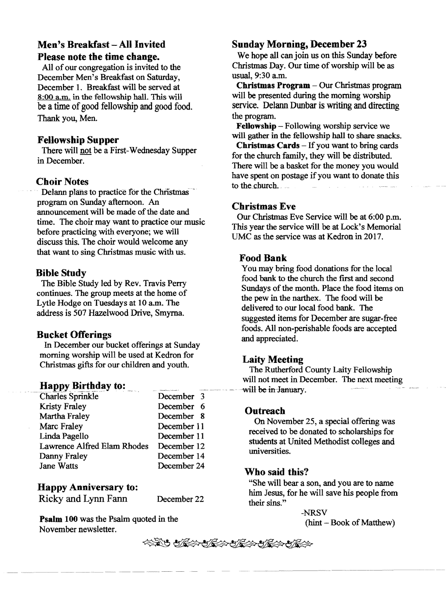# Men's Breakfast - All Invited Please note the time change.

All of our congregation is invited to the December Men's Breakfast on Saturday, December 1. Breakfast will be served at 8:00 a.m. in the fellowship hall. This will be a time of good fellowship and good food. Thank you, Men.

#### Fellowship Supper

There will not be a First-Wednesday Supper in December.

Choir Notes .<br>Delann plans to practice for the Christmas program on Sunday afternoon. An announcement will be made of the date and time. The choir may want to practice our music before practicing with everyone; we will discuss this. The choir would welcome any that want to sing Christmas music with us.

#### Bible Study

The Bible Study led by Rev. Travis Perry continues. The group meets at the home of Lytle Hodge on Tuesdays at 10 a.m. The address is 507 Hazelwood Drive, Smyrna.

#### Bucket Offerings

In December our bucket offerings at Sunday morning worship will be used at Kedron for Christmas gifts for our children and youth.

#### Happy Birthday to:

| <b>Charles Sprinkle</b>     | December 3  |
|-----------------------------|-------------|
| Kristy Fraley               | December 6  |
| Martha Fraley               | December 8  |
| Marc Fraley                 | December 11 |
| Linda Pagello               | December 11 |
| Lawrence Alfred Elam Rhodes | December 12 |
| Danny Fraley                | December 14 |
| Jane Watts                  | December 24 |

#### Happy Anniversary to:

Ricky and Lynn Fann December 22

Psalm 100 was the Psalm quoted in the November newsletter.

#### Sunday Morning, December 23

We hope all can join us on this Sunday before Christmas Day. Our time of worship will be as usual, 9:30 a.m.

Christmas Program - Our Christmas program will be presented during the morning worship service. Delann Dunbar is writing and directing the program.

Fellowship - Following worship service we will gather in the fellowship hall to share snacks.

**Christmas Cards**  $-$  If you want to bring cards for the church family, they will be distributed. There will be a basket for the money you would have spent on postage if you want to donate this to the church.

#### Christmas Eve

Our Christmas Eve Service will be at 6:00 p.m. This year the service will be at Lock's Memorial UMC as the service was at Kedron in 2017.

#### Food Bank

You may bring food donations for the local food bank to the church the fIrst and second Sundays of the month. Place the food items on the pew in the narthex. The food will be delivered to our local food bank. The suggested items for December are sugar-free foods. All non-perishable foods are accepted and appreciated.

#### Laity Meeting

The Rutherford County Laity Fellowship will not meet in December. The next meeting will be in-January.

#### Outreach

On November 25, a special offering was received to be donated to scholarships for students at United Methodist colleges and universities.

#### Who said this?

"She will bear a son, and you are to name him Jesus, for he will save his people from their sins."

> -NRSV  $(hint - Book of Matthew)$

\*\*\*\*\*\*\*\*\*\*\*\*\*\*\*\*\*\*\*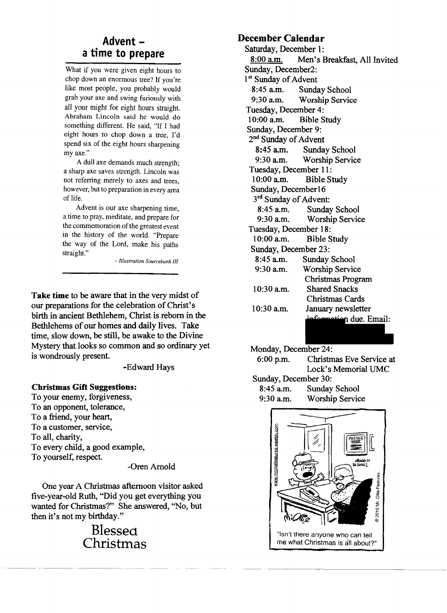# **a time to prepare**

What if you were given eight hours to chop down an enormous tree? If you're like most people, you probably would grab your axe and swing furiously with all your might for eight hours straight. Abraham Lincoln said he would do something different. He said, "If I had eight hours to chop down a tree, I'd spend six of the eight hours sharpening my axe."

A dull axe demands much strength; a sharp axe saves strength. Lincoln was not referring merely to axes and trees, however, but to preparation in every area of life.

Advent is our axe sharpening time, a time to pray, meditate, and prepare for the commemoration of the greatest event in the history of the world. "Prepare the way of the Lord, make his paths straight."

*-Illustration Source bank III* 

**Take time** to be aware that in the very midst of our preparations for the celebration of Christ's birth in ancient Bethlehem, Christ is reborn in the Bethlehems of our homes and daily lives. Take time, slow down, be still, be awake to the Divine Mystery that looks so common and so ordinary yet is wondrously present.

-Edward Hays

#### **Christmas Gift Suggestions:**

To your enemy, forgiveness, To an opponent, tolerance, To a friend, your heart, To a customer, service, To all, charity, To every child, a good example, To yourself, respect.

-Oren Amold

One year A Christmas afternoon visitor asked five-year-old Ruth, "Did you get everything you wanted for Christmas?" She answered, "No, but then it's not my birthday."

> **Blessea Christmas**

# **Advent December Calendar -**

Saturday, December I: 8:00 a.m. Men's Breakfast, All Invited Sunday, December2: 1<sup>st</sup> Sunday of Advent 8:45 a.m. Sunday School<br>9:30 a.m. Worship Servic Worship Service Tuesday, December 4: 10:00 a.m. Bible Study Sunday, December 9: 2<sup>nd</sup> Sunday of Advent 8:45 am. Sunday School 9:30 am. Worship Service Tuesday, December 11:<br>10:00 a.m. Bible S Bible Study Sunday, December16  $3<sup>rd</sup>$  Sunday of Advent:<br>8:45 a.m. Sunday 8:45 a.m. Sunday School<br>9:30 a.m. Worship Servic Worship Service Tuesday, December 18:<br>10:00 a.m. Bible S **Bible Study** Sunday, December 23: 8:45 am. Sunday School 9:30 am. Worship Service Christmas Program 10:30 a.m. Shared Snacks Christmas Cards 10:30 a.m. January newsletter formation due. Email:

Monday, December 24:

6:00 p.m. Christmas Eve Service at Lock's Memorial UMC Sunday, December 30: 8:45 am. Sunday School 9:30 am. Worship Service